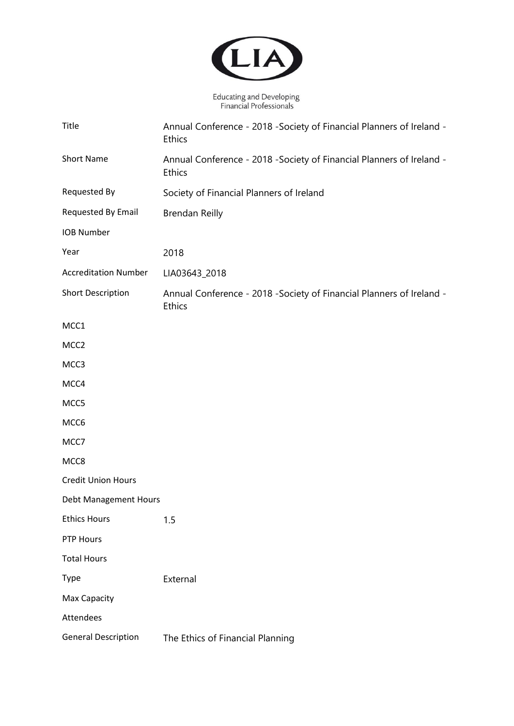

Educating and Developing<br>Financial Professionals

| <b>Title</b>                | Annual Conference - 2018 - Society of Financial Planners of Ireland -<br><b>Ethics</b> |
|-----------------------------|----------------------------------------------------------------------------------------|
| <b>Short Name</b>           | Annual Conference - 2018 - Society of Financial Planners of Ireland -<br><b>Ethics</b> |
| Requested By                | Society of Financial Planners of Ireland                                               |
| Requested By Email          | <b>Brendan Reilly</b>                                                                  |
| <b>IOB Number</b>           |                                                                                        |
| Year                        | 2018                                                                                   |
| <b>Accreditation Number</b> | LIA03643_2018                                                                          |
| <b>Short Description</b>    | Annual Conference - 2018 - Society of Financial Planners of Ireland -<br><b>Ethics</b> |
| MCC1                        |                                                                                        |
| MCC <sub>2</sub>            |                                                                                        |
| MCC3                        |                                                                                        |
| MCC4                        |                                                                                        |
| MCC5                        |                                                                                        |
| MCC6                        |                                                                                        |
| MCC7                        |                                                                                        |
| MCC8                        |                                                                                        |
| <b>Credit Union Hours</b>   |                                                                                        |
| Debt Management Hours       |                                                                                        |
| <b>Ethics Hours</b>         | 1.5                                                                                    |
| PTP Hours                   |                                                                                        |
| <b>Total Hours</b>          |                                                                                        |
| <b>Type</b>                 | External                                                                               |
| Max Capacity                |                                                                                        |
| <b>Attendees</b>            |                                                                                        |
| <b>General Description</b>  | The Ethics of Financial Planning                                                       |